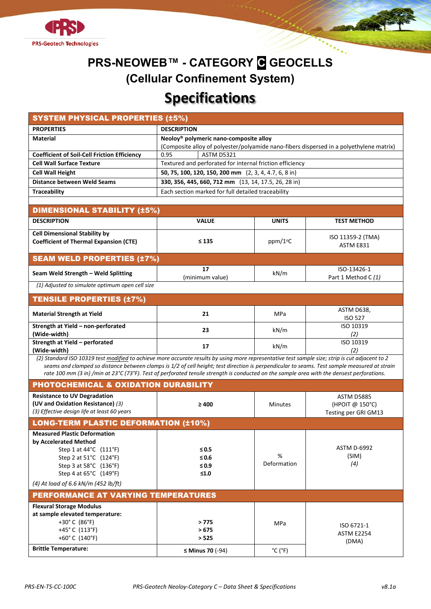

## **PRS-NEOWEB™ - CATEGORY C GEOCELLS (Cellular Confinement System) Specifications**

| <b>SYSTEM PHYSICAL PROPERTIES (±5%)</b>                                                                                                                                                                                                                                                                                                                                                                                                       |                                                                                                                                               |                              |                                                              |  |  |  |
|-----------------------------------------------------------------------------------------------------------------------------------------------------------------------------------------------------------------------------------------------------------------------------------------------------------------------------------------------------------------------------------------------------------------------------------------------|-----------------------------------------------------------------------------------------------------------------------------------------------|------------------------------|--------------------------------------------------------------|--|--|--|
| <b>PROPERTIES</b>                                                                                                                                                                                                                                                                                                                                                                                                                             | <b>DESCRIPTION</b>                                                                                                                            |                              |                                                              |  |  |  |
| <b>Material</b>                                                                                                                                                                                                                                                                                                                                                                                                                               | Neoloy <sup>®</sup> polymeric nano-composite alloy<br>(Composite alloy of polyester/polyamide nano-fibers dispersed in a polyethylene matrix) |                              |                                                              |  |  |  |
| <b>Coefficient of Soil-Cell Friction Efficiency</b>                                                                                                                                                                                                                                                                                                                                                                                           | 0.95<br><b>ASTM D5321</b>                                                                                                                     |                              |                                                              |  |  |  |
| <b>Cell Wall Surface Texture</b>                                                                                                                                                                                                                                                                                                                                                                                                              | Textured and perforated for internal friction efficiency                                                                                      |                              |                                                              |  |  |  |
| <b>Cell Wall Height</b>                                                                                                                                                                                                                                                                                                                                                                                                                       | 50, 75, 100, 120, 150, 200 mm (2, 3, 4, 4.7, 6, 8 in)                                                                                         |                              |                                                              |  |  |  |
| <b>Distance between Weld Seams</b>                                                                                                                                                                                                                                                                                                                                                                                                            | 330, 356, 445, 660, 712 mm (13, 14, 17.5, 26, 28 in)                                                                                          |                              |                                                              |  |  |  |
| Each section marked for full detailed traceability<br><b>Traceability</b>                                                                                                                                                                                                                                                                                                                                                                     |                                                                                                                                               |                              |                                                              |  |  |  |
| <b>DIMENSIONAL STABILITY (±5%)</b>                                                                                                                                                                                                                                                                                                                                                                                                            |                                                                                                                                               |                              |                                                              |  |  |  |
| <b>DESCRIPTION</b>                                                                                                                                                                                                                                                                                                                                                                                                                            | <b>VALUE</b>                                                                                                                                  | <b>UNITS</b>                 | <b>TEST METHOD</b>                                           |  |  |  |
| <b>Cell Dimensional Stability by</b><br><b>Coefficient of Thermal Expansion (CTE)</b>                                                                                                                                                                                                                                                                                                                                                         | $\leq 135$                                                                                                                                    | ppm/1 <sup>o</sup> C         | ISO 11359-2 (TMA)<br>ASTM E831                               |  |  |  |
| <b>SEAM WELD PROPERTIES (±7%)</b>                                                                                                                                                                                                                                                                                                                                                                                                             |                                                                                                                                               |                              |                                                              |  |  |  |
| Seam Weld Strength - Weld Splitting                                                                                                                                                                                                                                                                                                                                                                                                           | 17<br>(minimum value)                                                                                                                         | kN/m                         | ISO-13426-1<br>Part 1 Method C (1)                           |  |  |  |
| (1) Adjusted to simulate optimum open cell size                                                                                                                                                                                                                                                                                                                                                                                               |                                                                                                                                               |                              |                                                              |  |  |  |
| <b>TENSILE PROPERTIES (±7%)</b>                                                                                                                                                                                                                                                                                                                                                                                                               |                                                                                                                                               |                              |                                                              |  |  |  |
| <b>Material Strength at Yield</b>                                                                                                                                                                                                                                                                                                                                                                                                             | 21                                                                                                                                            | MPa                          | ASTM D638,<br><b>ISO 527</b>                                 |  |  |  |
| Strength at Yield - non-perforated<br>(Wide-width)                                                                                                                                                                                                                                                                                                                                                                                            | 23                                                                                                                                            | kN/m                         | ISO 10319<br>(2)                                             |  |  |  |
| Strength at Yield - perforated<br>(Wide-width)                                                                                                                                                                                                                                                                                                                                                                                                | 17                                                                                                                                            | kN/m                         | ISO 10319<br>(2)                                             |  |  |  |
| (2) Standard ISO 10319 test modified to achieve more accurate results by using more representative test sample size; strip is cut adjacent to 2<br>seams and clamped so distance between clamps is 1/2 of cell height; test direction is perpendicular to seams. Test sample measured at strain<br>rate 100 mm (3 in) /min at 23°C (73°F). Test of perforated tensile strength is conducted on the sample area with the densest perforations. |                                                                                                                                               |                              |                                                              |  |  |  |
| PHOTOCHEMICAL & OXIDATION DURABILITY                                                                                                                                                                                                                                                                                                                                                                                                          |                                                                                                                                               |                              |                                                              |  |  |  |
| <b>Resistance to UV Degradation</b><br>(UV and Oxidation Resistance) (3)<br>(3) Effective design life at least 60 years                                                                                                                                                                                                                                                                                                                       | $\geq 400$                                                                                                                                    | <b>Minutes</b>               | <b>ASTM D5885</b><br>(HPOIT @ 150°C)<br>Testing per GRI GM13 |  |  |  |
| <b>LONG-TERM PLASTIC DEFORMATION (±10%)</b>                                                                                                                                                                                                                                                                                                                                                                                                   |                                                                                                                                               |                              |                                                              |  |  |  |
| <b>Measured Plastic Deformation</b><br>by Accelerated Method<br>Step 1 at 44°C (111°F)<br>Step 2 at 51°C (124°F)<br>Step 3 at 58°C (136°F)<br>Step 4 at 65°C (149°F)<br>(4) At load of 6.6 kN/m (452 lb/ft)                                                                                                                                                                                                                                   | $\leq 0.5$<br>$\leq 0.6$<br>$\leq 0.9$<br>$≤1.0$                                                                                              | %<br>Deformation             | <b>ASTM D-6992</b><br>(SIM)<br>(4)                           |  |  |  |
| <b>PERFORMANCE AT VARYING TEMPERATURES</b>                                                                                                                                                                                                                                                                                                                                                                                                    |                                                                                                                                               |                              |                                                              |  |  |  |
| <b>Flexural Storage Modulus</b><br>at sample elevated temperature:<br>+30 $^{\circ}$ C (86 $^{\circ}$ F)<br>+45°C (113°F)<br>+60 $^{\circ}$ C (140 $^{\circ}$ F)                                                                                                                                                                                                                                                                              | > 775<br>>675<br>> 525                                                                                                                        | MPa                          | ISO 6721-1<br><b>ASTM E2254</b><br>(DMA)                     |  |  |  |
| <b>Brittle Temperature:</b>                                                                                                                                                                                                                                                                                                                                                                                                                   | $\leq$ Minus 70 (-94)                                                                                                                         | $^{\circ}$ C ( $^{\circ}$ F) |                                                              |  |  |  |